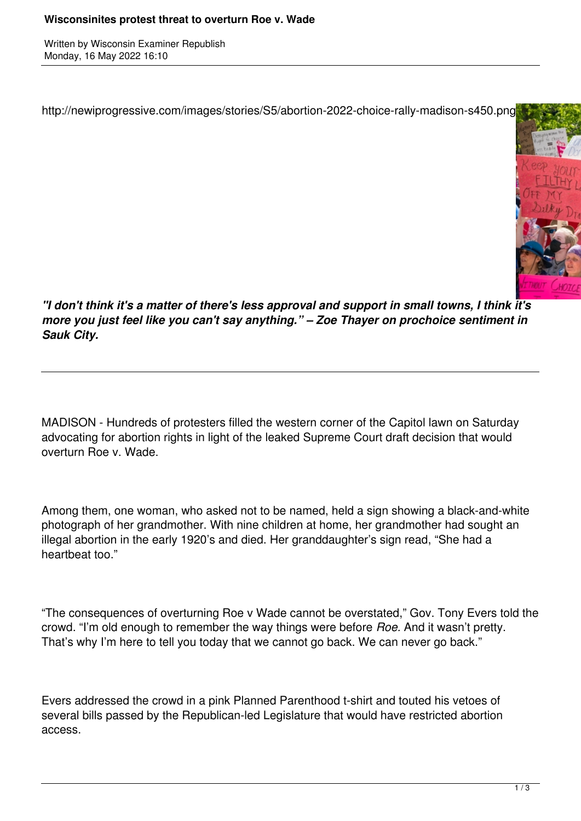Written by Wisconsin Examiner Republish Monday, 16 May 2022 16:10

http://newiprogressive.com/images/stories/S5/abortion-2022-choice-rally-madison-s450.png



*"I don't think it's a matter of there's less approval and support in small towns, I think it's more you just feel like you can't say anything." – Zoe Thayer on prochoice sentiment in Sauk City.*

MADISON - Hundreds of protesters filled the western corner of the Capitol lawn on Saturday advocating for abortion rights in light of the leaked Supreme Court draft decision that would overturn Roe v. Wade.

Among them, one woman, who asked not to be named, held a sign showing a black-and-white photograph of her grandmother. With nine children at home, her grandmother had sought an illegal abortion in the early 1920's and died. Her granddaughter's sign read, "She had a heartbeat too."

"The consequences of overturning Roe v Wade cannot be overstated," Gov. Tony Evers told the crowd. "I'm old enough to remember the way things were before *Roe.* And it wasn't pretty. That's why I'm here to tell you today that we cannot go back. We can never go back."

Evers addressed the crowd in a pink Planned Parenthood t-shirt and touted his vetoes of several bills passed by the Republican-led Legislature that would have restricted abortion access.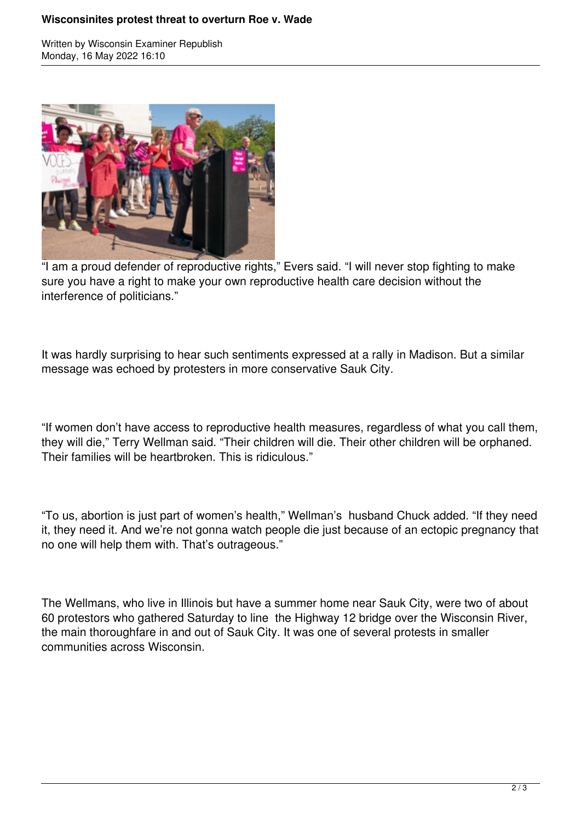## **Wisconsinites protest threat to overturn Roe v. Wade**

Written by Wisconsin Examiner Republish Monday, 16 May 2022 16:10



"I am a proud defender of reproductive rights," Evers said. "I will never stop fighting to make sure you have a right to make your own reproductive health care decision without the interference of politicians."

It was hardly surprising to hear such sentiments expressed at a rally in Madison. But a similar message was echoed by protesters in more conservative Sauk City.

"If women don't have access to reproductive health measures, regardless of what you call them, they will die," Terry Wellman said. "Their children will die. Their other children will be orphaned. Their families will be heartbroken. This is ridiculous."

"To us, abortion is just part of women's health," Wellman's husband Chuck added. "If they need it, they need it. And we're not gonna watch people die just because of an ectopic pregnancy that no one will help them with. That's outrageous."

The Wellmans, who live in Illinois but have a summer home near Sauk City, were two of about 60 protestors who gathered Saturday to line the Highway 12 bridge over the Wisconsin River, the main thoroughfare in and out of Sauk City. It was one of several protests in smaller communities across Wisconsin.